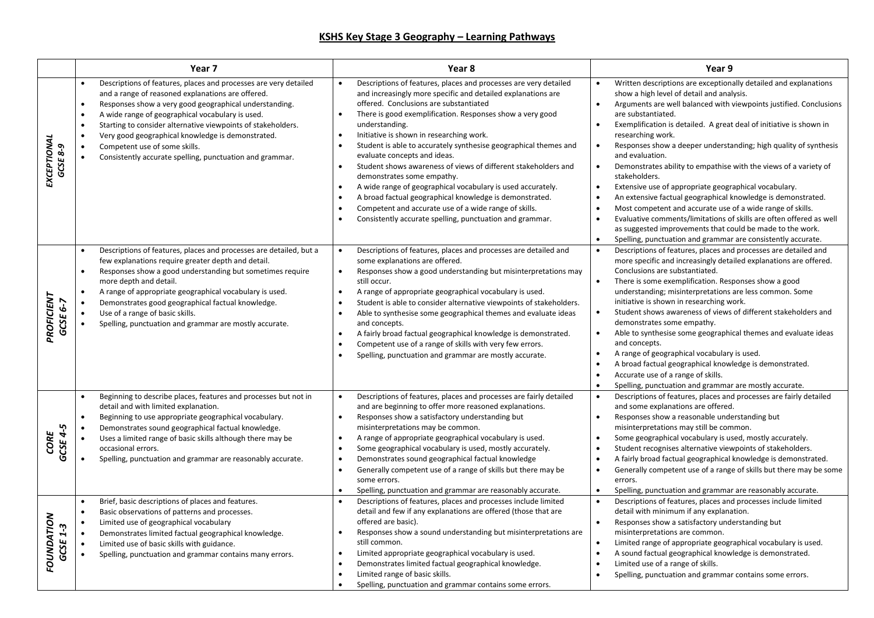## **KSHS Key Stage 3 Geography – Learning Pathways**

|                        | Year <sub>7</sub>                                                                                                                                                                                                                                                                                                                                                                                                                                                                                         | Year <sub>8</sub>                                                                                                                                                                                                                                                                                                                                                                                                                                                                                                                                                                                                                                                                                                                                                                               | Year 9                                                                                                                                                                                                                                                                                                                                                                                                                                                                                                                                                                                                                                                                                                                                                                                                                                                                                                                                                                                            |
|------------------------|-----------------------------------------------------------------------------------------------------------------------------------------------------------------------------------------------------------------------------------------------------------------------------------------------------------------------------------------------------------------------------------------------------------------------------------------------------------------------------------------------------------|-------------------------------------------------------------------------------------------------------------------------------------------------------------------------------------------------------------------------------------------------------------------------------------------------------------------------------------------------------------------------------------------------------------------------------------------------------------------------------------------------------------------------------------------------------------------------------------------------------------------------------------------------------------------------------------------------------------------------------------------------------------------------------------------------|---------------------------------------------------------------------------------------------------------------------------------------------------------------------------------------------------------------------------------------------------------------------------------------------------------------------------------------------------------------------------------------------------------------------------------------------------------------------------------------------------------------------------------------------------------------------------------------------------------------------------------------------------------------------------------------------------------------------------------------------------------------------------------------------------------------------------------------------------------------------------------------------------------------------------------------------------------------------------------------------------|
| EXCEPTIONAL<br>GCSE8-9 | Descriptions of features, places and processes are very detailed<br>$\bullet$<br>and a range of reasoned explanations are offered.<br>Responses show a very good geographical understanding.<br>$\bullet$<br>A wide range of geographical vocabulary is used.<br>Starting to consider alternative viewpoints of stakeholders.<br>$\bullet$<br>Very good geographical knowledge is demonstrated.<br>Competent use of some skills.<br>$\bullet$<br>Consistently accurate spelling, punctuation and grammar. | Descriptions of features, places and processes are very detailed<br>and increasingly more specific and detailed explanations are<br>offered. Conclusions are substantiated<br>There is good exemplification. Responses show a very good<br>understanding.<br>Initiative is shown in researching work.<br>Student is able to accurately synthesise geographical themes and<br>evaluate concepts and ideas.<br>Student shows awareness of views of different stakeholders and<br>$\bullet$<br>demonstrates some empathy.<br>A wide range of geographical vocabulary is used accurately.<br>A broad factual geographical knowledge is demonstrated.<br>Competent and accurate use of a wide range of skills.<br>$\bullet$<br>$\bullet$<br>Consistently accurate spelling, punctuation and grammar. | Written descriptions are exceptionally detailed and explanations<br>$\bullet$<br>show a high level of detail and analysis.<br>Arguments are well balanced with viewpoints justified. Conclusions<br>$\bullet$<br>are substantiated.<br>Exemplification is detailed. A great deal of initiative is shown in<br>$\bullet$<br>researching work.<br>Responses show a deeper understanding; high quality of synthesis<br>and evaluation.<br>Demonstrates ability to empathise with the views of a variety of<br>$\bullet$<br>stakeholders.<br>Extensive use of appropriate geographical vocabulary.<br>$\bullet$<br>An extensive factual geographical knowledge is demonstrated.<br>$\bullet$<br>Most competent and accurate use of a wide range of skills.<br>$\bullet$<br>Evaluative comments/limitations of skills are often offered as well<br>$\bullet$<br>as suggested improvements that could be made to the work.<br>Spelling, punctuation and grammar are consistently accurate.<br>$\bullet$ |
| PROFICIENT<br>GCSE 6-7 | Descriptions of features, places and processes are detailed, but a<br>few explanations require greater depth and detail.<br>Responses show a good understanding but sometimes require<br>more depth and detail.<br>A range of appropriate geographical vocabulary is used.<br>Demonstrates good geographical factual knowledge.<br>Use of a range of basic skills.<br>Spelling, punctuation and grammar are mostly accurate.                                                                              | Descriptions of features, places and processes are detailed and<br>some explanations are offered.<br>Responses show a good understanding but misinterpretations may<br>$\bullet$<br>still occur.<br>A range of appropriate geographical vocabulary is used.<br>Student is able to consider alternative viewpoints of stakeholders.<br>Able to synthesise some geographical themes and evaluate ideas<br>and concepts.<br>A fairly broad factual geographical knowledge is demonstrated.<br>Competent use of a range of skills with very few errors.<br>Spelling, punctuation and grammar are mostly accurate.                                                                                                                                                                                   | Descriptions of features, places and processes are detailed and<br>$\bullet$<br>more specific and increasingly detailed explanations are offered.<br>Conclusions are substantiated.<br>There is some exemplification. Responses show a good<br>understanding; misinterpretations are less common. Some<br>initiative is shown in researching work.<br>Student shows awareness of views of different stakeholders and<br>$\bullet$<br>demonstrates some empathy.<br>Able to synthesise some geographical themes and evaluate ideas<br>$\bullet$<br>and concepts.<br>A range of geographical vocabulary is used.<br>$\bullet$<br>A broad factual geographical knowledge is demonstrated.<br>$\bullet$<br>Accurate use of a range of skills.<br>$\bullet$<br>$\bullet$<br>Spelling, punctuation and grammar are mostly accurate.                                                                                                                                                                     |
| GCSE 4-5<br>CORE       | Beginning to describe places, features and processes but not in<br>$\bullet$<br>detail and with limited explanation.<br>Beginning to use appropriate geographical vocabulary.<br>Demonstrates sound geographical factual knowledge.<br>Uses a limited range of basic skills although there may be<br>$\bullet$<br>occasional errors.<br>Spelling, punctuation and grammar are reasonably accurate.                                                                                                        | Descriptions of features, places and processes are fairly detailed<br>and are beginning to offer more reasoned explanations.<br>Responses show a satisfactory understanding but<br>$\bullet$<br>misinterpretations may be common.<br>A range of appropriate geographical vocabulary is used.<br>$\bullet$<br>Some geographical vocabulary is used, mostly accurately.<br>Demonstrates sound geographical factual knowledge<br>Generally competent use of a range of skills but there may be<br>some errors.<br>Spelling, punctuation and grammar are reasonably accurate.                                                                                                                                                                                                                       | Descriptions of features, places and processes are fairly detailed<br>$\bullet$<br>and some explanations are offered.<br>Responses show a reasonable understanding but<br>$\bullet$<br>misinterpretations may still be common.<br>Some geographical vocabulary is used, mostly accurately.<br>$\bullet$<br>Student recognises alternative viewpoints of stakeholders.<br>$\bullet$<br>A fairly broad factual geographical knowledge is demonstrated.<br>$\bullet$<br>Generally competent use of a range of skills but there may be some<br>$\bullet$<br>errors.<br>Spelling, punctuation and grammar are reasonably accurate.<br>$\bullet$                                                                                                                                                                                                                                                                                                                                                        |
| FOUNDATION<br>GCSE     | Brief, basic descriptions of places and features.<br>Basic observations of patterns and processes.<br>Limited use of geographical vocabulary<br>Demonstrates limited factual geographical knowledge.<br>Limited use of basic skills with guidance.<br>Spelling, punctuation and grammar contains many errors.                                                                                                                                                                                             | Descriptions of features, places and processes include limited<br>detail and few if any explanations are offered (those that are<br>offered are basic).<br>Responses show a sound understanding but misinterpretations are<br>still common.<br>Limited appropriate geographical vocabulary is used.<br>Demonstrates limited factual geographical knowledge.<br>Limited range of basic skills.<br>Spelling, punctuation and grammar contains some errors.                                                                                                                                                                                                                                                                                                                                        | $\bullet$<br>Descriptions of features, places and processes include limited<br>detail with minimum if any explanation.<br>Responses show a satisfactory understanding but<br>misinterpretations are common.<br>Limited range of appropriate geographical vocabulary is used.<br>$\bullet$<br>A sound factual geographical knowledge is demonstrated.<br>$\bullet$<br>Limited use of a range of skills.<br>$\bullet$<br>Spelling, punctuation and grammar contains some errors.<br>$\bullet$                                                                                                                                                                                                                                                                                                                                                                                                                                                                                                       |